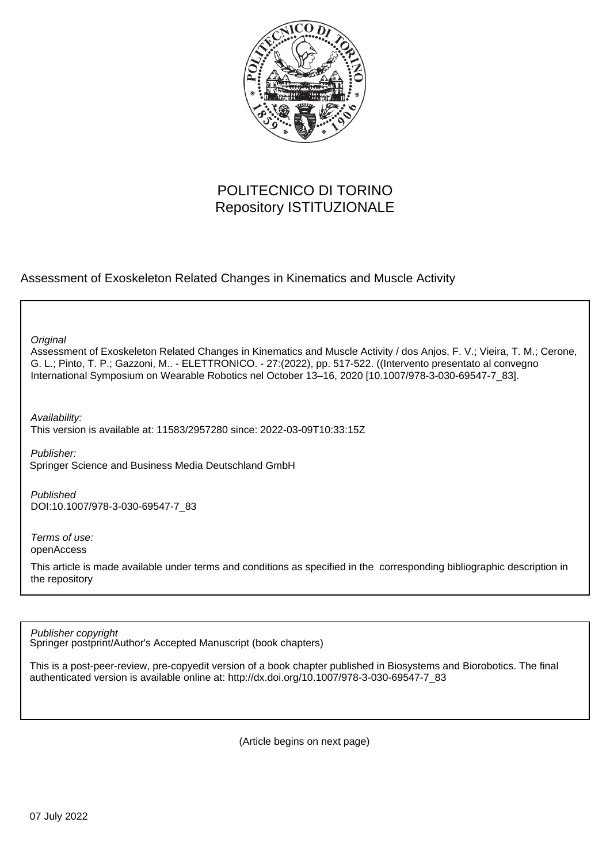

# POLITECNICO DI TORINO Repository ISTITUZIONALE

### Assessment of Exoskeleton Related Changes in Kinematics and Muscle Activity

**Original** 

Assessment of Exoskeleton Related Changes in Kinematics and Muscle Activity / dos Anjos, F. V.; Vieira, T. M.; Cerone, G. L.; Pinto, T. P.; Gazzoni, M.. - ELETTRONICO. - 27:(2022), pp. 517-522. ((Intervento presentato al convegno International Symposium on Wearable Robotics nel October 13–16, 2020 [10.1007/978-3-030-69547-7\_83].

Availability:

This version is available at: 11583/2957280 since: 2022-03-09T10:33:15Z

Publisher: Springer Science and Business Media Deutschland GmbH

Published DOI:10.1007/978-3-030-69547-7\_83

Terms of use: openAccess

This article is made available under terms and conditions as specified in the corresponding bibliographic description in the repository

Publisher copyright

Springer postprint/Author's Accepted Manuscript (book chapters)

This is a post-peer-review, pre-copyedit version of a book chapter published in Biosystems and Biorobotics. The final authenticated version is available online at: http://dx.doi.org/10.1007/978-3-030-69547-7\_83

(Article begins on next page)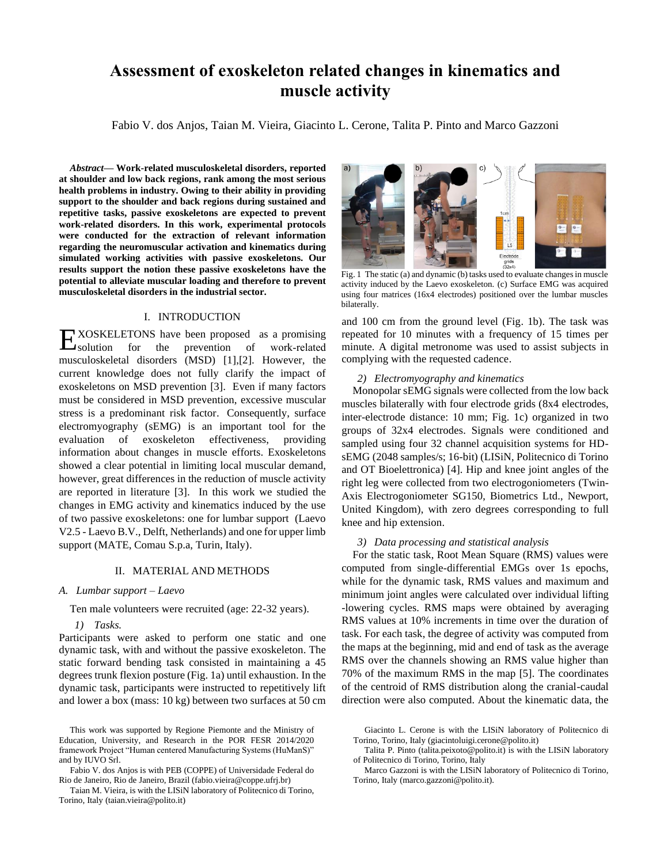## **Assessment of exoskeleton related changes in kinematics and muscle activity**

Fabio V. dos Anjos, Taian M. Vieira, Giacinto L. Cerone, Talita P. Pinto and Marco Gazzoni

*Abstract***— Work-related musculoskeletal disorders, reported at shoulder and low back regions, rank among the most serious health problems in industry. Owing to their ability in providing support to the shoulder and back regions during sustained and repetitive tasks, passive exoskeletons are expected to prevent work-related disorders. In this work, experimental protocols were conducted for the extraction of relevant information regarding the neuromuscular activation and kinematics during simulated working activities with passive exoskeletons. Our results support the notion these passive exoskeletons have the potential to alleviate muscular loading and therefore to prevent musculoskeletal disorders in the industrial sector.**

#### I. INTRODUCTION

XOSKELETONS have been proposed as a promising for the prevention of work-related musculoskeletal disorders (MSD) [1],[2]. However, the current knowledge does not fully clarify the impact of exoskeletons on MSD prevention [3]. Even if many factors must be considered in MSD prevention, excessive muscular stress is a predominant risk factor. Consequently, surface electromyography (sEMG) is an important tool for the evaluation of exoskeleton effectiveness, providing information about changes in muscle efforts. Exoskeletons showed a clear potential in limiting local muscular demand, however, great differences in the reduction of muscle activity are reported in literature [3]. In this work we studied the changes in EMG activity and kinematics induced by the use of two passive exoskeletons: one for lumbar support (Laevo V2.5 - Laevo B.V., Delft, Netherlands) and one for upper limb support (MATE, Comau S.p.a, Turin, Italy).  $E_{\text{solution}}$ 

#### II. MATERIAL AND METHODS

#### *A. Lumbar support – Laevo*

Ten male volunteers were recruited (age: 22-32 years).

### *1) Tasks.*

Participants were asked to perform one static and one dynamic task, with and without the passive exoskeleton. The static forward bending task consisted in maintaining a 45 degrees trunk flexion posture (Fig. 1a) until exhaustion. In the dynamic task, participants were instructed to repetitively lift and lower a box (mass: 10 kg) between two surfaces at 50 cm



Fig. 1 The static (a) and dynamic (b) tasks used to evaluate changes in muscle activity induced by the Laevo exoskeleton. (c) Surface EMG was acquired using four matrices (16x4 electrodes) positioned over the lumbar muscles bilaterally.

and 100 cm from the ground level (Fig. 1b). The task was repeated for 10 minutes with a frequency of 15 times per minute. A digital metronome was used to assist subjects in complying with the requested cadence.

#### *2) Electromyography and kinematics*

Monopolar sEMG signals were collected from the low back muscles bilaterally with four electrode grids (8x4 electrodes, inter-electrode distance: 10 mm; Fig. 1c) organized in two groups of 32x4 electrodes. Signals were conditioned and sampled using four 32 channel acquisition systems for HDsEMG (2048 samples/s; 16-bit) (LISiN, Politecnico di Torino and OT Bioelettronica) [4]. Hip and knee joint angles of the right leg were collected from two electrogoniometers (Twin-Axis Electrogoniometer SG150, Biometrics Ltd., Newport, United Kingdom), with zero degrees corresponding to full knee and hip extension.

#### *3) Data processing and statistical analysis*

For the static task, Root Mean Square (RMS) values were computed from single-differential EMGs over 1s epochs, while for the dynamic task, RMS values and maximum and minimum joint angles were calculated over individual lifting -lowering cycles. RMS maps were obtained by averaging RMS values at 10% increments in time over the duration of task. For each task, the degree of activity was computed from the maps at the beginning, mid and end of task as the average RMS over the channels showing an RMS value higher than 70% of the maximum RMS in the map [5]. The coordinates of the centroid of RMS distribution along the cranial-caudal direction were also computed. About the kinematic data, the

This work was supported by Regione Piemonte and the Ministry of Education, University, and Research in the POR FESR 2014/2020 framework Project "Human centered Manufacturing Systems (HuManS)" and by IUVO Srl.

Fabio V. dos Anjos is with PEB (COPPE) of Universidade Federal do Rio de Janeiro, Rio de Janeiro, Brazil (fabio.vieira@coppe.ufrj.br)

Taian M. Vieira, is with the LISiN laboratory of Politecnico di Torino, Torino, Italy (taian.vieira@polito.it)

Giacinto L. Cerone is with the LISiN laboratory of Politecnico di Torino, Torino, Italy (giacintoluigi.cerone@polito.it)

Talita P. Pinto (talita.peixoto@polito.it) is with the LISiN laboratory of Politecnico di Torino, Torino, Italy

Marco Gazzoni is with the LISiN laboratory of Politecnico di Torino, Torino, Italy (marco.gazzoni@polito.it).